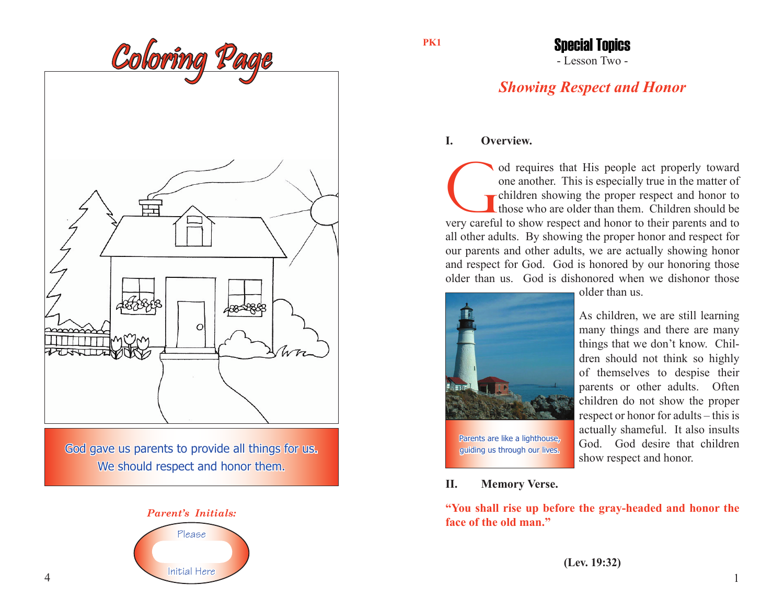

God gave us parents to provide all things for us. We should respect and honor them.



**PK1**

## - Lesson Two - Special Topics

# *Showing Respect and Honor*

### **I. Overview.**

od requires that His people act properly toward one another. This is especially true in the matter of children showing the proper respect and honor to their parents and to very careful to show respect and honor to their pa one another. This is especially true in the matter of children showing the proper respect and honor to those who are older than them. Children should be all other adults. By showing the proper honor and respect for our parents and other adults, we are actually showing honor and respect for God. God is honored by our honoring those older than us. God is dishonored when we dishonor those



Parents are like a lighthouse, guiding us through our lives. older than us.

As children, we are still learning many things and there are many things that we don't know. Children should not think so highly of themselves to despise their parents or other adults. Often children do not show the proper respect or honor for adults – this is actually shameful. It also insults God. God desire that children show respect and honor.

**II. Memory Verse.**

**"You shall rise up before the gray-headed and honor the face of the old man."**